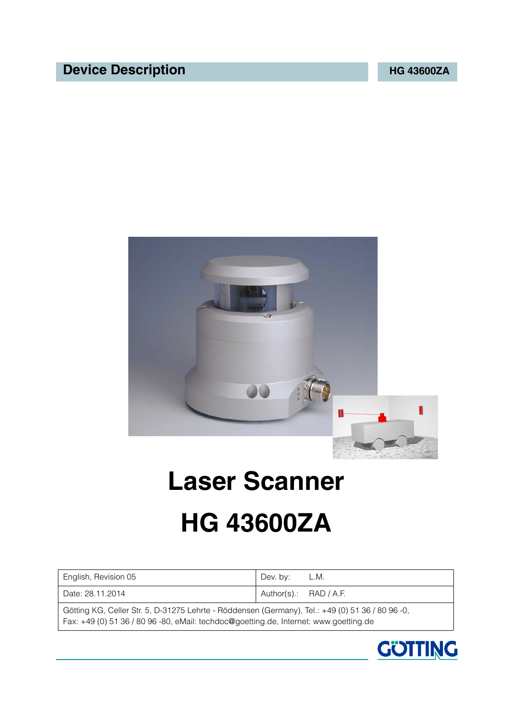# **Device Description CONSERVING ACCESS OF A 43600ZA**



# **Laser Scanner**

# <span id="page-0-1"></span>**HG 43600ZA**

<span id="page-0-3"></span><span id="page-0-2"></span><span id="page-0-0"></span>

| English, Revision 05                                                                             | Dev. by:                 | L.M. |
|--------------------------------------------------------------------------------------------------|--------------------------|------|
| Date: 28.11.2014                                                                                 | Author(s).: $RAD / A.F.$ |      |
| Götting KG, Celler Str. 5, D-31275 Lehrte - Röddensen (Germany), Tel.: +49 (0) 51 36 / 80 96 -0, |                          |      |

Fax: +49 (0) 51 36 / 80 96 -80, eMail: [techdoc@goetting.de](mailto:techdoc@goetting.de), Internet: [www.goetting.de](http://www.goetting.de/)

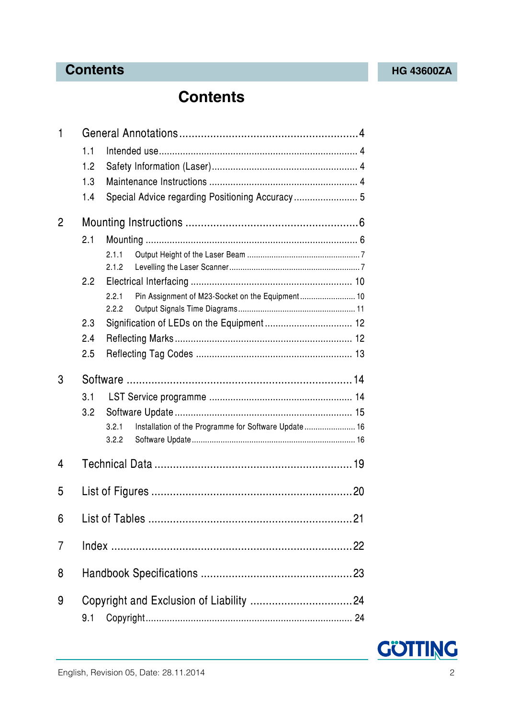# **Contents [HG 43600ZA](#page-0-1)**

# **Contents**

| 1            |                                                               |  |  |
|--------------|---------------------------------------------------------------|--|--|
|              | 1.1                                                           |  |  |
|              | 1.2                                                           |  |  |
|              | 1.3                                                           |  |  |
|              | Special Advice regarding Positioning Accuracy 5<br>1.4        |  |  |
| $\mathbf{2}$ |                                                               |  |  |
|              | 2.1                                                           |  |  |
|              | 2.1.1                                                         |  |  |
|              | 2.1.2                                                         |  |  |
|              | 2.2                                                           |  |  |
|              | Pin Assignment of M23-Socket on the Equipment 10<br>2.2.1     |  |  |
|              | 2.2.2                                                         |  |  |
|              | 2.3                                                           |  |  |
|              | 2.4                                                           |  |  |
|              | 2.5                                                           |  |  |
| 3            |                                                               |  |  |
|              | 3.1                                                           |  |  |
|              | 3.2                                                           |  |  |
|              | Installation of the Programme for Software Update 16<br>3.2.1 |  |  |
|              | 3.2.2                                                         |  |  |
| 4            |                                                               |  |  |
|              |                                                               |  |  |
| 5            |                                                               |  |  |
| 6            |                                                               |  |  |
| 7            |                                                               |  |  |
| 8            |                                                               |  |  |
| 9            | 9.1                                                           |  |  |

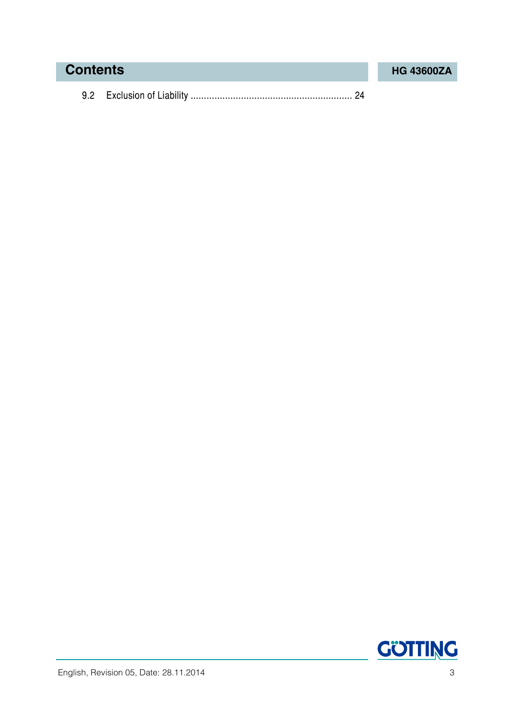# **Contents [HG 43600ZA](#page-0-1)**

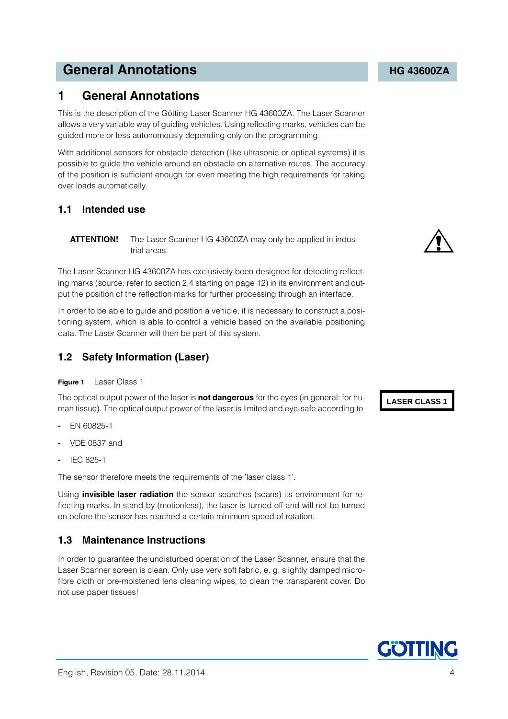# **General Annotations Constitutions [HG 43600ZA](#page-0-1)**

# <span id="page-3-0"></span>**1 General Annotations**

<span id="page-3-6"></span>This is the description of the Götting Laser Scanner [HG 43600ZA.](#page-0-1) The Laser Scanner allows a very variable way of guiding vehicles. Using reflecting marks, vehicles can be guided more or less autonomously depending only on the programming.

With additional sensors for obstacle detection (like ultrasonic or optical systems) it is possible to guide the vehicle around an obstacle on alternative routes. The accuracy of the position is sufficient enough for even meeting the high requirements for taking over loads automatically.

### <span id="page-3-1"></span>**1.1 Intended use**

**ATTENTION!** The Laser Scanner [HG 43600ZA](#page-0-1) may only be applied in industrial areas.

The Laser Scanner [HG 43600ZA](#page-0-1) has exclusively been designed for detecting reflecting marks (source: refer to section [2.4 starting on page 12](#page-11-2)) in its environment and output the position of the reflection marks for further processing through an interface.

In order to be able to guide and position a vehicle, it is necessary to construct a positioning system, which is able to control a vehicle based on the available positioning data. The Laser Scanner will then be part of this system.

### <span id="page-3-2"></span>**1.2 Safety Information (Laser)**

### <span id="page-3-9"></span><span id="page-3-4"></span>**Figure 1** Laser Class 1

The optical output power of the laser is **not dangerous** for the eyes (in general: for human tissue). The optical output power of the laser is limited and eye-safe according to

- **-** EN 60825-1
- **-** VDE 0837 and
- **-** IEC 825-1

The sensor therefore meets the requirements of the 'laser class 1'.

Using **invisible laser radiation** the sensor searches (scans) its environment for reflecting marks. In stand-by (motionless), the laser is turned off and will not be turned on before the sensor has reached a certain minimum speed of rotation.

### <span id="page-3-3"></span>**1.3 Maintenance Instructions**

<span id="page-3-8"></span><span id="page-3-7"></span>In order to guarantee the undisturbed operation of the Laser Scanner, ensure that the Laser Scanner screen is clean. Only use very soft fabric, e. g. slightly damped microfibre cloth or pre-moistened lens cleaning wipes, to clean the transparent cover. Do not use paper tissues!

<span id="page-3-5"></span>

**LASER CLASS 1**

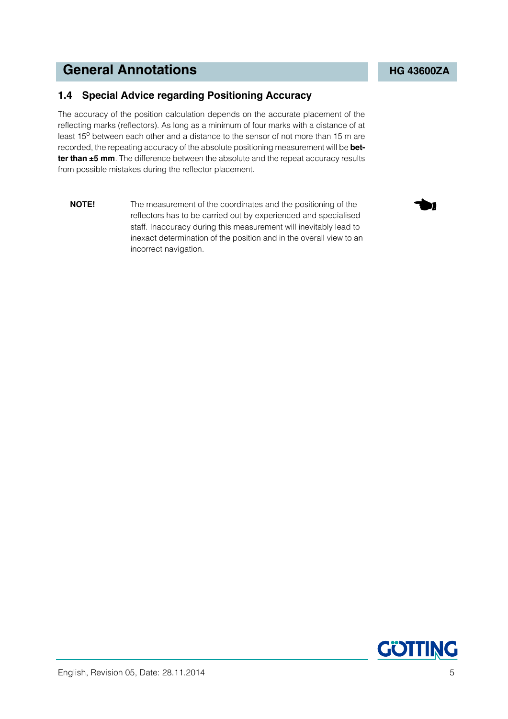# <span id="page-4-1"></span>**General Annotations Constitutions [HG 43600ZA](#page-0-1)**

### <span id="page-4-0"></span>**1.4 Special Advice regarding Positioning Accuracy**

The accuracy of the position calculation depends on the accurate placement of the reflecting marks (reflectors). As long as a minimum of four marks with a distance of at least 15<sup>o</sup> between each other and a distance to the sensor of not more than 15 m are recorded, the repeating accuracy of the absolute positioning measurement will be **better than ±5 mm**. The difference between the absolute and the repeat accuracy results from possible mistakes during the reflector placement.

**NOTE!** The measurement of the coordinates and the positioning of the reflectors has to be carried out by experienced and specialised staff. Inaccuracy during this measurement will inevitably lead to inexact determination of the position and in the overall view to an incorrect navigation.

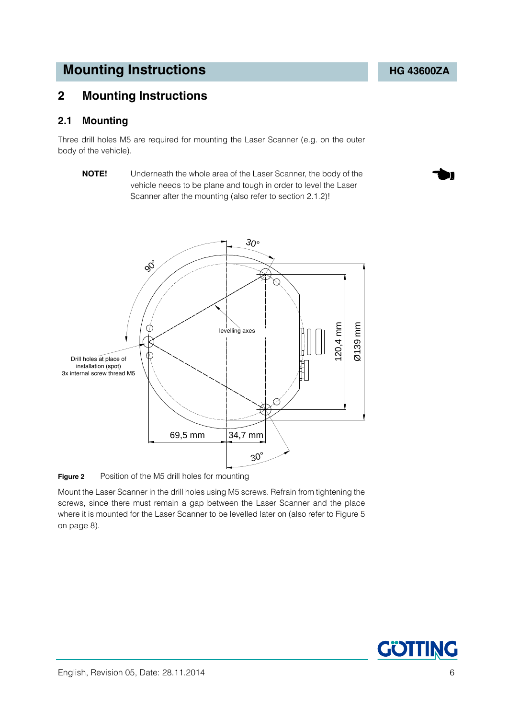# <span id="page-5-0"></span>**2 Mounting Instructions**

### <span id="page-5-3"></span><span id="page-5-1"></span>**2.1 Mounting**

Three drill holes M5 are required for mounting the Laser Scanner (e.g. on the outer body of the vehicle).

**NOTE!** Underneath the whole area of the Laser Scanner, the body of the vehicle needs to be plane and tough in order to level the Laser Scanner after the mounting (also refer to section [2.1.2\)](#page-6-1)!



<span id="page-5-4"></span><span id="page-5-2"></span>**Figure 2** Position of the M5 drill holes for mounting

Mount the Laser Scanner in the drill holes using M5 screws. Refrain from tightening the screws, since there must remain a gap between the Laser Scanner and the place where it is mounted for the Laser Scanner to be levelled later on (also refer to [Figure 5](#page-7-0)  [on page 8](#page-7-0)).

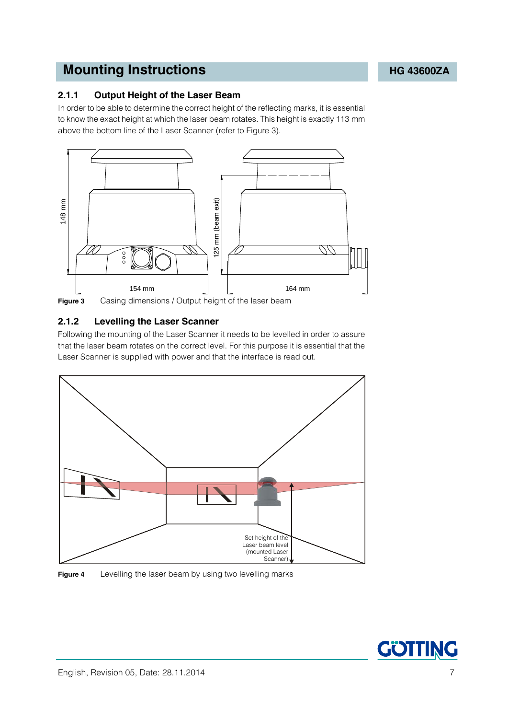### <span id="page-6-4"></span><span id="page-6-0"></span>**2.1.1 Output Height of the Laser Beam**

<span id="page-6-6"></span>In order to be able to determine the correct height of the reflecting marks, it is essential to know the exact height at which the laser beam rotates. This height is exactly 113 mm above the bottom line of the Laser Scanner (refer to [Figure 3\)](#page-6-2).



<span id="page-6-2"></span>**Figure 3** Casing dimensions / Output height of the laser beam

### <span id="page-6-5"></span><span id="page-6-1"></span>**2.1.2 Levelling the Laser Scanner**

Following the mounting of the Laser Scanner it needs to be levelled in order to assure that the laser beam rotates on the correct level. For this purpose it is essential that the Laser Scanner is supplied with power and that the interface is read out.



<span id="page-6-3"></span>

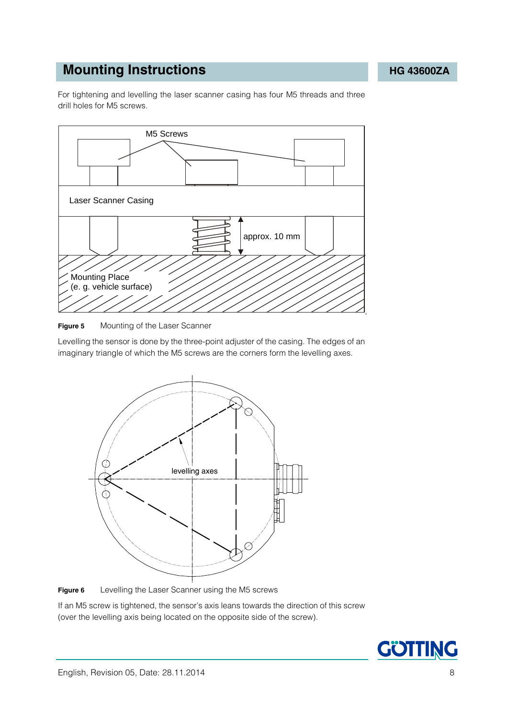For tightening and levelling the laser scanner casing has four M5 threads and three drill holes for M5 screws.



<span id="page-7-0"></span>

Levelling the sensor is done by the three-point adjuster of the casing. The edges of an imaginary triangle of which the M5 screws are the corners form the levelling axes.



<span id="page-7-1"></span>**Figure 6** Levelling the Laser Scanner using the M5 screws

If an M5 screw is tightened, the sensor's axis leans towards the direction of this screw (over the levelling axis being located on the opposite side of the screw).

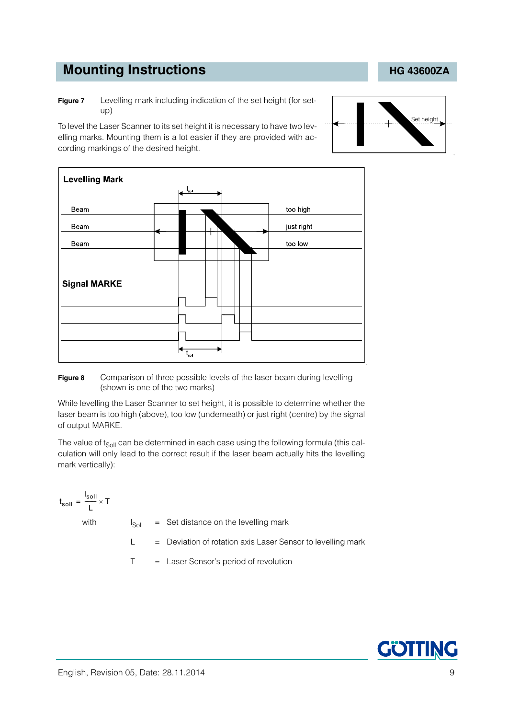<span id="page-8-0"></span>**Figure 7** Levelling mark including indication of the set height (for setup)

To level the Laser Scanner to its set height it is necessary to have two levelling marks. Mounting them is a lot easier if they are provided with according markings of the desired height.



### <span id="page-8-1"></span>**Figure 8** Comparison of three possible levels of the laser beam during levelling (shown is one of the two marks)

While levelling the Laser Scanner to set height, it is possible to determine whether the laser beam is too high (above), too low (underneath) or just right (centre) by the signal of output MARKE.

The value of  $t_{Sol}$  can be determined in each case using the following formula (this calculation will only lead to the correct result if the laser beam actually hits the levelling mark vertically):

t soll  $=\frac{I_{\text{solI}}}{L} \times T$ 

with  $I_{\text{Soll}} = \text{Set}$  distance on the levelling mark

 $L =$  Deviation of rotation axis Laser Sensor to levelling mark

T = Laser Sensor's period of revolution



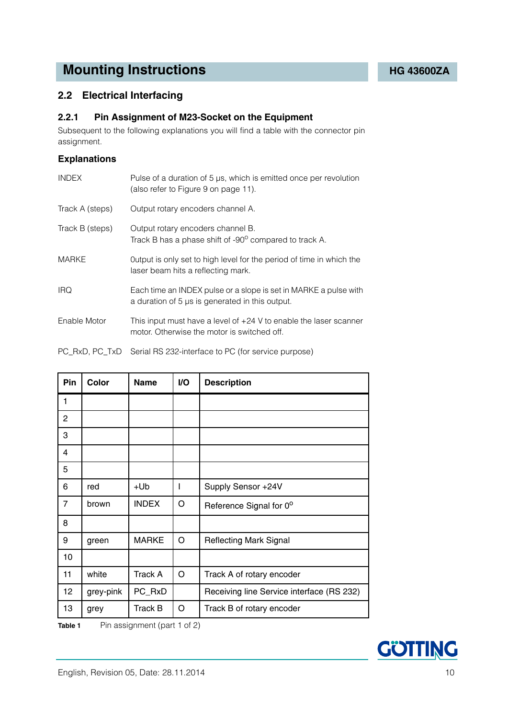### <span id="page-9-0"></span>**2.2 Electrical Interfacing**

### <span id="page-9-5"></span><span id="page-9-1"></span>**2.2.1 Pin Assignment of M23-Socket on the Equipment**

Subsequent to the following explanations you will find a table with the connector pin assignment.

### **Explanations**

<span id="page-9-7"></span><span id="page-9-6"></span><span id="page-9-4"></span>

| <b>INDEX</b>    | Pulse of a duration of 5 µs, which is emitted once per revolution<br>(also refer to Figure 9 on page 11).           |
|-----------------|---------------------------------------------------------------------------------------------------------------------|
| Track A (steps) | Output rotary encoders channel A.                                                                                   |
| Track B (steps) | Output rotary encoders channel B.<br>Track B has a phase shift of -90° compared to track A.                         |
| <b>MARKE</b>    | Output is only set to high level for the period of time in which the<br>laser beam hits a reflecting mark.          |
| <b>IRQ</b>      | Each time an INDEX pulse or a slope is set in MARKE a pulse with<br>a duration of 5 µs is generated in this output. |
| Enable Motor    | This input must have a level of $+24$ V to enable the laser scanner<br>motor. Otherwise the motor is switched off.  |
|                 | PC_RxD, PC_TxD Serial RS 232-interface to PC (for service purpose)                                                  |

| Pin | Color     | <b>Name</b>    | I/O | <b>Description</b>                        |
|-----|-----------|----------------|-----|-------------------------------------------|
| 1   |           |                |     |                                           |
| 2   |           |                |     |                                           |
| 3   |           |                |     |                                           |
| 4   |           |                |     |                                           |
| 5   |           |                |     |                                           |
| 6   | red       | +Ub            | I   | Supply Sensor +24V                        |
| 7   | brown     | <b>INDEX</b>   | O   | Reference Signal for 0°                   |
| 8   |           |                |     |                                           |
| 9   | green     | <b>MARKE</b>   | O   | <b>Reflecting Mark Signal</b>             |
| 10  |           |                |     |                                           |
| 11  | white     | <b>Track A</b> | O   | Track A of rotary encoder                 |
| 12  | grey-pink | PC_RxD         |     | Receiving line Service interface (RS 232) |
| 13  | grey      | <b>Track B</b> | O   | Track B of rotary encoder                 |

<span id="page-9-3"></span><span id="page-9-2"></span>**Table 1** Pin assignment (part 1 of 2)

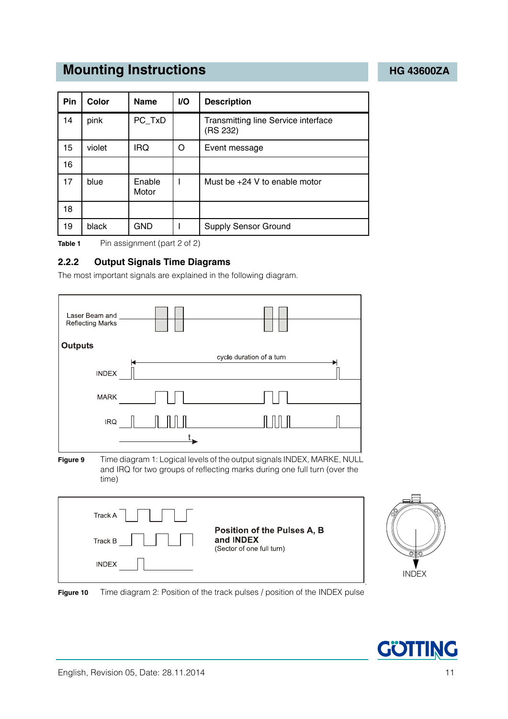| <b>Pin</b> | Color  | <b>Name</b>     | <b>VO</b> | <b>Description</b>                              |
|------------|--------|-----------------|-----------|-------------------------------------------------|
| 14         | pink   | PC_TxD          |           | Transmitting line Service interface<br>(RS 232) |
| 15         | violet | <b>IRQ</b>      | O         | Event message                                   |
| 16         |        |                 |           |                                                 |
| 17         | blue   | Enable<br>Motor |           | Must be $+24$ V to enable motor                 |
| 18         |        |                 |           |                                                 |
| 19         | black  | GND             |           | <b>Supply Sensor Ground</b>                     |

**Table 1** Pin assignment (part 2 of 2)

### <span id="page-10-0"></span>**2.2.2 Output Signals Time Diagrams**

<span id="page-10-3"></span>The most important signals are explained in the following diagram.





<span id="page-10-2"></span>

(Sector of one full turn)



<span id="page-10-1"></span>**INDEX**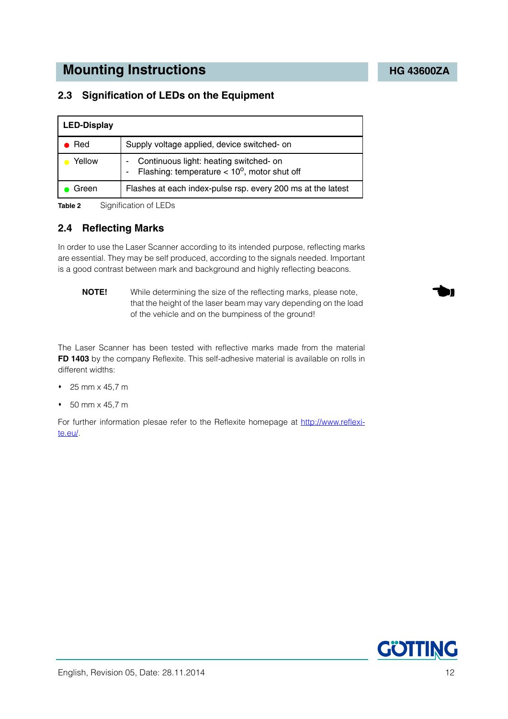### <span id="page-11-0"></span>**2.3 Signification of LEDs on the Equipment**

| <b>LED-Display</b> |                                                                                                           |
|--------------------|-----------------------------------------------------------------------------------------------------------|
| Red                | Supply voltage applied, device switched- on                                                               |
| Yellow             | Continuous light: heating switched- on<br>۰<br>Flashing: temperature $< 10^{\circ}$ , motor shut off<br>۰ |
| Green              | Flashes at each index-pulse rsp. every 200 ms at the latest                                               |

<span id="page-11-4"></span><span id="page-11-3"></span>**Table 2** Signification of LEDs

### <span id="page-11-2"></span><span id="page-11-1"></span>**2.4 Reflecting Marks**

In order to use the Laser Scanner according to its intended purpose, reflecting marks are essential. They may be self produced, according to the signals needed. Important is a good contrast between mark and background and highly reflecting beacons.

<span id="page-11-5"></span>**NOTE!** While determining the size of the reflecting marks, please note, that the height of the laser beam may vary depending on the load of the vehicle and on the bumpiness of the ground!

The Laser Scanner has been tested with reflective marks made from the material **FD 1403** by the company Reflexite. This self-adhesive material is available on rolls in different widths:

- $\div$  25 mm x 45.7 m
- 50 mm x 45,7 m

For further information plesae refer to the Reflexite homepage at [http://www.reflexi](http://www.reflexite.eu)[te.eu/.](http://www.reflexite.eu)

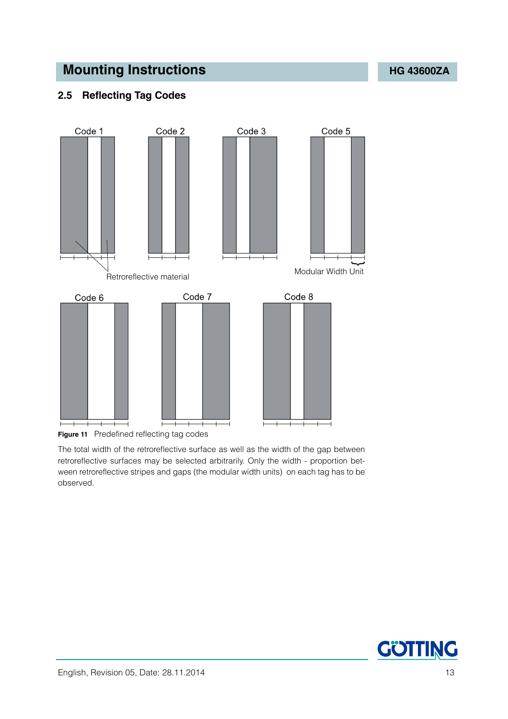# <span id="page-12-0"></span>**2.5 Reflecting Tag Codes**



<span id="page-12-1"></span>**Figure 11** Predefined reflecting tag codes

The total width of the retroreflective surface as well as the width of the gap between retroreflective surfaces may be selected arbitrarily. Only the width - proportion between retroreflective stripes and gaps (the modular width units) on each tag has to be observed.

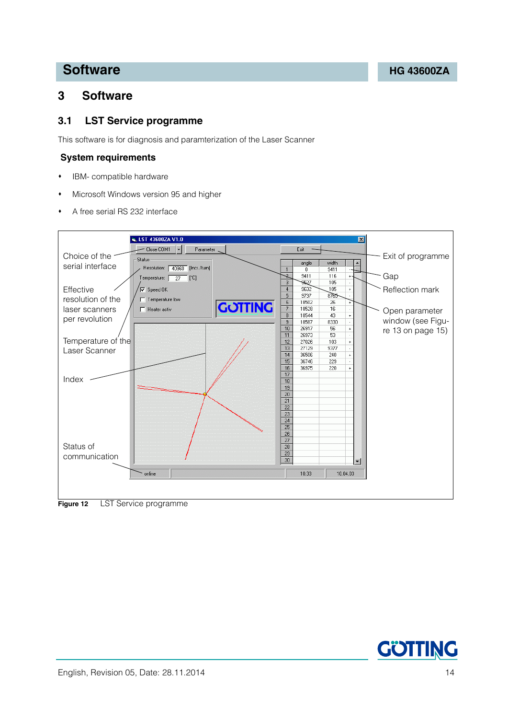# **Software [HG 43600ZA](#page-0-1)**

# <span id="page-13-0"></span>**3 Software**

### <span id="page-13-4"></span><span id="page-13-3"></span><span id="page-13-1"></span>**3.1 LST Service programme**

This software is for diagnosis and paramterization of the Laser Scanner

### **System requirements**

- IBM- compatible hardware
- Microsoft Windows version 95 and higher
- A free serial RS 232 interface



<span id="page-13-2"></span>**Figure 12** [LST Service programme](#page-13-1)

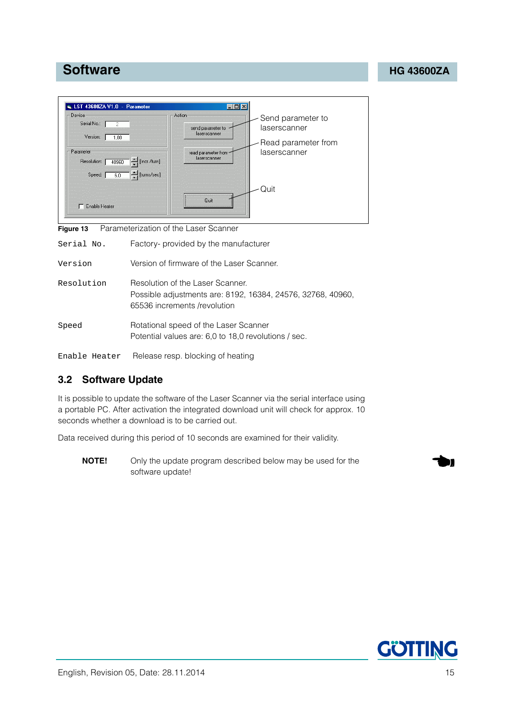# **Software [HG 43600ZA](#page-0-1)**



<span id="page-14-1"></span>**Figure 13** Parameterization of the Laser Scanner

<span id="page-14-2"></span>

| Serial No.    | Factory- provided by the manufacturer                                                                                           |
|---------------|---------------------------------------------------------------------------------------------------------------------------------|
| Version       | Version of firmware of the Laser Scanner.                                                                                       |
| Resolution    | Resolution of the Laser Scanner.<br>Possible adjustments are: 8192, 16384, 24576, 32768, 40960,<br>65536 increments /revolution |
| Speed         | Rotational speed of the Laser Scanner<br>Potential values are: 6,0 to 18,0 revolutions / sec.                                   |
| Enable Heater | Release resp. blocking of heating                                                                                               |

<span id="page-14-4"></span><span id="page-14-3"></span>

### <span id="page-14-0"></span>**3.2 Software Update**

It is possible to update the software of the Laser Scanner via the serial interface using a portable PC. After activation the integrated download unit will check for approx. 10 seconds whether a download is to be carried out.

Data received during this period of 10 seconds are examined for their validity.

**NOTE!** Only the update program described below may be used for the software update!

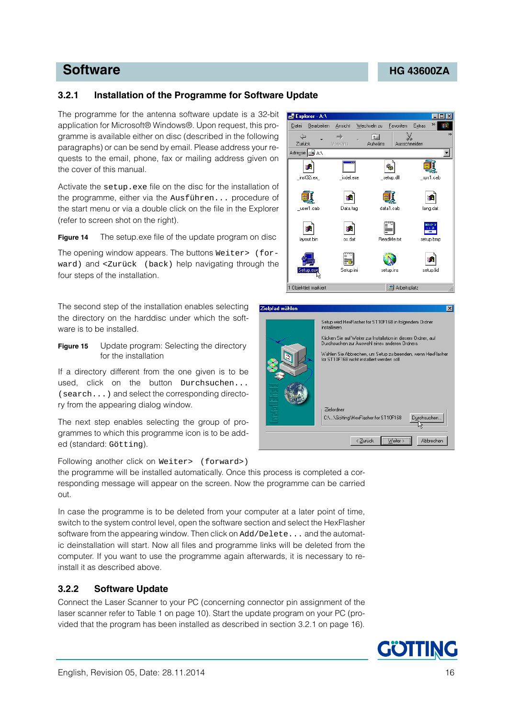### <span id="page-15-0"></span>**3.2.1 Installation of the Programme for Software Update**

The programme for the antenna software update is a 32-bit application for Microsoft® Windows®. Upon request, this programme is available either on disc (described in the following paragraphs) or can be send by email. Please address your requests to the email, phone, fax or mailing address given on the cover of this manual.

Activate the setup.exe file on the disc for the installation of the programme, either via the Ausführen... procedure of the start menu or via a double click on the file in the Explorer (refer to screen shot on the right).

<span id="page-15-2"></span>**Figure 14** The setup.exe file of the update program on disc

The opening window appears. The buttons Weiter> (forward) and <Zurück (back) help navigating through the four steps of the installation.

The second step of the installation enables selecting the directory on the harddisc under which the software is to be installed.

<span id="page-15-3"></span>**Figure 15** Update program: Selecting the directory for the installation

If a directory different from the one given is to be used, click on the button Durchsuchen... (search...) and select the corresponding directory from the appearing dialog window.

The next step enables selecting the group of programmes to which this programme icon is to be added (standard: Götting).

Following another click on Weiter> (forward>)

the programme will be installed automatically. Once this process is completed a corresponding message will appear on the screen. Now the programme can be carried out.

In case the programme is to be deleted from your computer at a later point of time, switch to the system control level, open the software section and select the HexFlasher software from the appearing window. Then click on Add/Delete... and the automatic deinstallation will start. Now all files and programme links will be deleted from the computer. If you want to use the programme again afterwards, it is necessary to reinstall it as described above.

### <span id="page-15-1"></span>**3.2.2 Software Update**

Connect the Laser Scanner to your PC (concerning connector pin assignment of the laser scanner refer to [Table 1 on page 10](#page-9-2)). Start the update program on your PC (provided that the program has been installed as described in section [3.2.1 on page 16\)](#page-15-0).





### **Software [HG 43600ZA](#page-0-1)**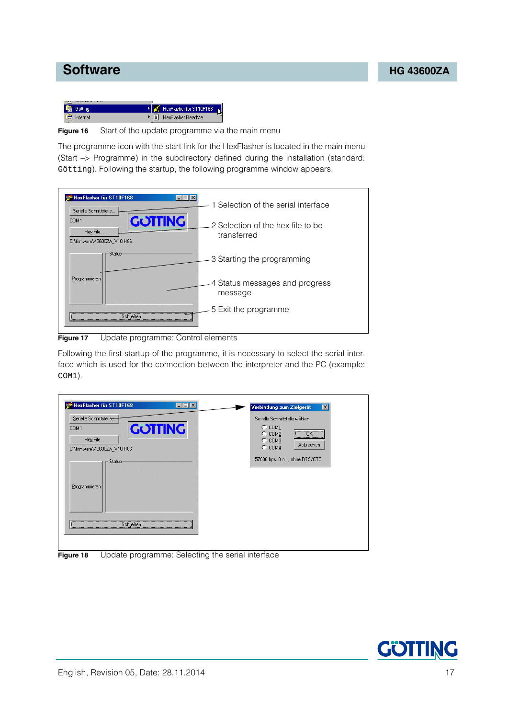



<span id="page-16-0"></span>**Figure 16** Start of the update programme via the main menu

The programme icon with the start link for the HexFlasher is located in the main menu (Start —> Programme) in the subdirectory defined during the installation (standard: Götting). Following the startup, the following programme window appears.



<span id="page-16-1"></span>**Figure 17** Update programme: Control elements

Following the first startup of the programme, it is necessary to select the serial interface which is used for the connection between the interpreter and the PC (example: COM1).

| HexFlasher für ST10F168<br>$ \Box$ $\times$<br>Serielle Schnittstelle<br><b>GOTTING</b><br>COM1<br>Hex-File<br>C:\firmware\43600ZA_V10.H86<br>Status-<br>Programmieren | Verbindung zum Zielgerät<br>$\vert x \vert$<br>Serielle Schnittstelle wählen<br>$C$ COM $1$<br>$\overline{\sigma}$ K $\overline{\sigma}$<br>$C$ COM2<br>$C$ COM3<br>Abbrechen<br>$C$ COM $4$<br>57600 bps, 8 n 1, ohne RTS/CTS |
|------------------------------------------------------------------------------------------------------------------------------------------------------------------------|--------------------------------------------------------------------------------------------------------------------------------------------------------------------------------------------------------------------------------|
| Schließen                                                                                                                                                              |                                                                                                                                                                                                                                |

<span id="page-16-2"></span>**Figure 18** Update programme: Selecting the serial interface

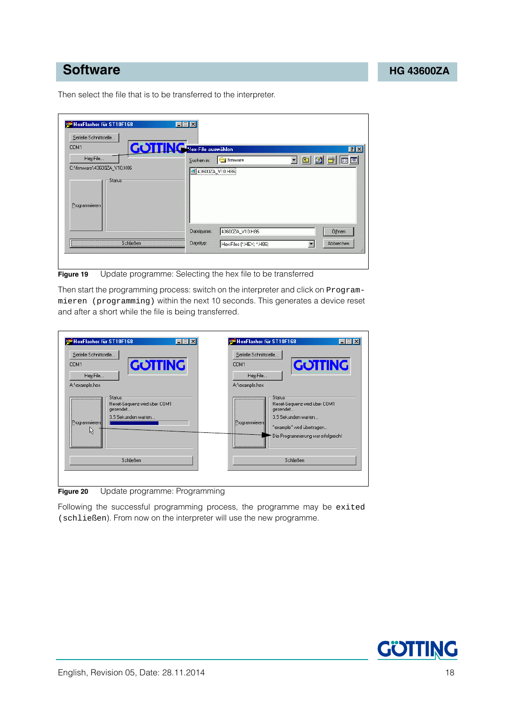# **Software [HG 43600ZA](#page-0-1)**

Then select the file that is to be transferred to the interpreter.

| Serielle Schnittstelle<br>COM1                                      | <b>COTTINGER</b> Hex-File auswählen                  | $?$ $\times$ |
|---------------------------------------------------------------------|------------------------------------------------------|--------------|
| Hex-File<br>C:\firmware\43600ZA_V10.H86<br>Status:<br>Programmieren | Suchen in:<br><b>S</b> firmware<br>2 43600ZA_V10.H86 | 「国図<br>■■■   |
|                                                                     | Dateiname:<br>43600ZA_V10.H86                        | Öffnen       |

<span id="page-17-0"></span>**Figure 19** Update programme: Selecting the hex file to be transferred

Then start the programming process: switch on the interpreter and click on Programmieren (programming) within the next 10 seconds. This generates a device reset and after a short while the file is being transferred.

| Serielle Schnittstelle<br><b>GOTTING</b><br>COM1<br>Hex-File<br>A:\example.hex                              | Serielle Schnittstelle<br><b>GOTTING</b><br>COM1<br>Hex-File<br>A:\example.hex                                                                                             |
|-------------------------------------------------------------------------------------------------------------|----------------------------------------------------------------------------------------------------------------------------------------------------------------------------|
| <b>Status:</b><br><br>Reset-Sequenz wird über COM1<br>gesendet<br>3.5 Sekunden warten<br>Programmieren<br>ド | <b>Status:</b><br><br>Reset-Sequenz wird über COM1<br>gesendet<br>3.5 Sekunden warten<br>Programmieren<br>"example" wird übertragen<br>Die Programmierung war erfolgreich! |
| Schließen                                                                                                   | Schließen                                                                                                                                                                  |

<span id="page-17-1"></span>**Figure 20** Update programme: Programming

Following the successful programming process, the programme may be exited (schließen). From now on the interpreter will use the new programme.

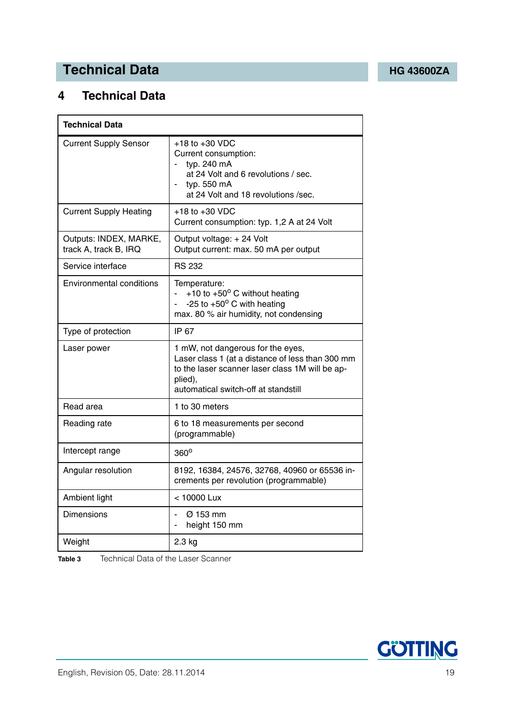# **Technical Data [HG 43600ZA](#page-0-1)**

# <span id="page-18-0"></span>**4 Technical Data**

| <b>Technical Data</b>                           |                                                                                                                                                                                             |
|-------------------------------------------------|---------------------------------------------------------------------------------------------------------------------------------------------------------------------------------------------|
| <b>Current Supply Sensor</b>                    | $+18$ to $+30$ VDC<br>Current consumption:<br>typ. 240 mA<br>at 24 Volt and 6 revolutions / sec.<br>typ. 550 mA<br>at 24 Volt and 18 revolutions /sec.                                      |
| <b>Current Supply Heating</b>                   | $+18$ to $+30$ VDC<br>Current consumption: typ. 1,2 A at 24 Volt                                                                                                                            |
| Outputs: INDEX, MARKE,<br>track A, track B, IRQ | Output voltage: +24 Volt<br>Output current: max. 50 mA per output                                                                                                                           |
| Service interface                               | <b>RS 232</b>                                                                                                                                                                               |
| Environmental conditions                        | Temperature:<br>+10 to +50 $^{\circ}$ C without heating<br>÷.<br>-25 to $+50^{\circ}$ C with heating<br>max. 80 % air humidity, not condensing                                              |
| Type of protection                              | IP 67                                                                                                                                                                                       |
| Laser power                                     | 1 mW, not dangerous for the eyes,<br>Laser class 1 (at a distance of less than 300 mm<br>to the laser scanner laser class 1M will be ap-<br>plied),<br>automatical switch-off at standstill |
| Read area                                       | 1 to 30 meters                                                                                                                                                                              |
| Reading rate                                    | 6 to 18 measurements per second<br>(programmable)                                                                                                                                           |
| Intercept range                                 | $360^\circ$                                                                                                                                                                                 |
| Angular resolution                              | 8192, 16384, 24576, 32768, 40960 or 65536 in-<br>crements per revolution (programmable)                                                                                                     |
| Ambient light                                   | < 10000 Lux                                                                                                                                                                                 |
| <b>Dimensions</b>                               | Ø 153 mm<br>$\blacksquare$<br>height 150 mm<br>$\overline{\phantom{0}}$                                                                                                                     |
| Weight                                          | 2.3 kg                                                                                                                                                                                      |

<span id="page-18-2"></span><span id="page-18-1"></span>**Table 3** [Technical Data](#page-18-0) of the Laser Scanner

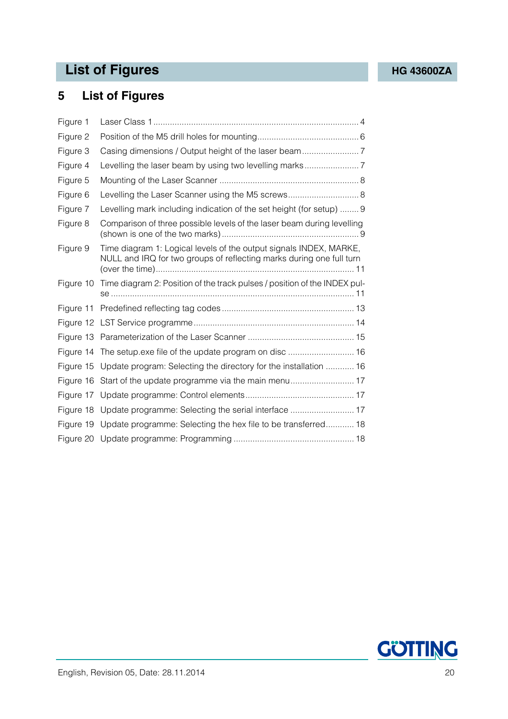# List of Figures **[HG 43600ZA](#page-0-1)**

# <span id="page-19-0"></span>**5 List of Figures**

| Figure 1  |                                                                                                                                            |
|-----------|--------------------------------------------------------------------------------------------------------------------------------------------|
| Figure 2  |                                                                                                                                            |
| Figure 3  |                                                                                                                                            |
| Figure 4  |                                                                                                                                            |
| Figure 5  |                                                                                                                                            |
| Figure 6  | Levelling the Laser Scanner using the M5 screws 8                                                                                          |
| Figure 7  | Levelling mark including indication of the set height (for setup)  9                                                                       |
| Figure 8  | Comparison of three possible levels of the laser beam during levelling                                                                     |
| Figure 9  | Time diagram 1: Logical levels of the output signals INDEX, MARKE,<br>NULL and IRQ for two groups of reflecting marks during one full turn |
| Figure 10 | Time diagram 2: Position of the track pulses / position of the INDEX pul-                                                                  |
| Figure 11 |                                                                                                                                            |
|           |                                                                                                                                            |
|           |                                                                                                                                            |
| Figure 14 | The setup.exe file of the update program on disc  16                                                                                       |
|           | Figure 15 Update program: Selecting the directory for the installation  16                                                                 |
| Figure 16 |                                                                                                                                            |
| Figure 17 |                                                                                                                                            |
|           | Figure 18 Update programme: Selecting the serial interface  17                                                                             |
|           | Figure 19 Update programme: Selecting the hex file to be transferred 18                                                                    |
|           |                                                                                                                                            |

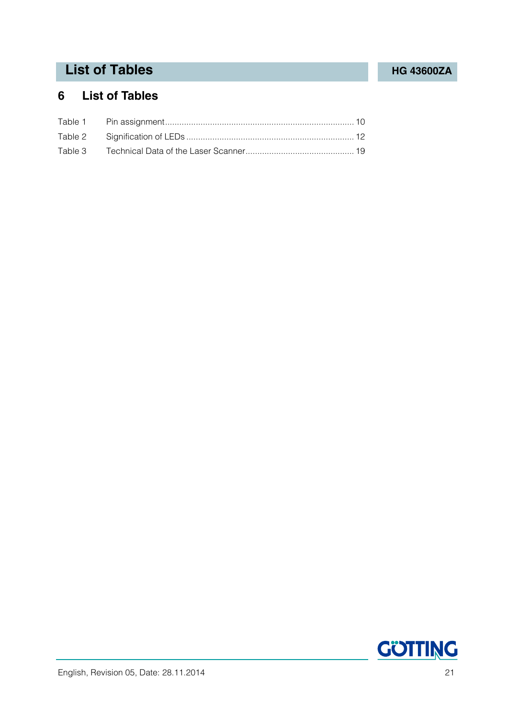# **List of Tables [HG 43600ZA](#page-0-1)**

# <span id="page-20-0"></span>**6 List of Tables**

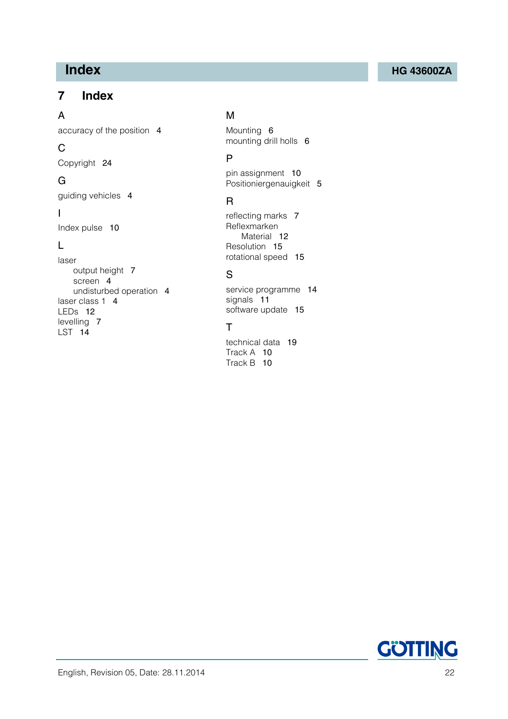# <span id="page-21-0"></span>**7 Index**

### A

accuracy of the position [4](#page-3-5)

# C

Copyright [24](#page-23-3)

# G

guiding vehicles [4](#page-3-6)

### I

Index pulse [10](#page-9-4)

# L

laser output height [7](#page-6-4) screen [4](#page-3-7) undisturbed operation [4](#page-3-8) laser class 1 [4](#page-3-9) LEDs [12](#page-11-4) levelling [7](#page-6-5) LST [14](#page-13-3)

# M

Mounting [6](#page-5-3) mounting drill holls [6](#page-5-4)

# P

pin assignment [10](#page-9-5) Positioniergenauigkeit [5](#page-4-1)

# R

reflecting marks [7](#page-6-6) Reflexmarken Material [12](#page-11-5) Resolution [15](#page-14-2) rotational speed [15](#page-14-3)

# S

service programme [14](#page-13-4) signals [11](#page-10-3) software update [15](#page-14-4)

# T

technical data [19](#page-18-2) Track A [10](#page-9-6) Track B [10](#page-9-7)

# **Index [HG 43600ZA](#page-0-1)**

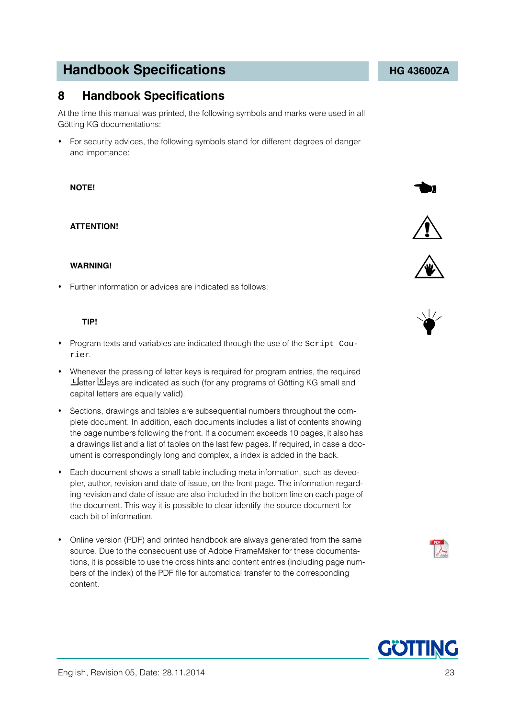# Götting KG documentations: For security advices, the following symbols stand for different degrees of danger

<span id="page-22-0"></span>**8 Handbook Specifications**

### **NOTE!**

### **ATTENTION!**

and importance:

### **WARNING!**

Further information or advices are indicated as follows:

### **TIP!**

 Program texts and variables are indicated through the use of the Script Courier.

At the time this manual was printed, the following symbols and marks were used in all

- Whenever the pressing of letter keys is required for program entries, the required **Letter K**eys are indicated as such (for any programs of Götting KG small and capital letters are equally valid).
- Sections, drawings and tables are subsequential numbers throughout the complete document. In addition, each documents includes a list of contents showing the page numbers following the front. If a document exceeds 10 pages, it also has a drawings list and a list of tables on the last few pages. If required, in case a document is correspondingly long and complex, a index is added in the back.
- Each document shows a small table including meta information, such as deveopler, author, revision and date of issue, on the front page. The information regarding revision and date of issue are also included in the bottom line on each page of the document. This way it is possible to clear identify the source document for each bit of information.
- Online version (PDF) and printed handbook are always generated from the same source. Due to the consequent use of Adobe FrameMaker for these documentations, it is possible to use the cross hints and content entries (including page numbers of the index) of the PDF file for automatical transfer to the corresponding content.